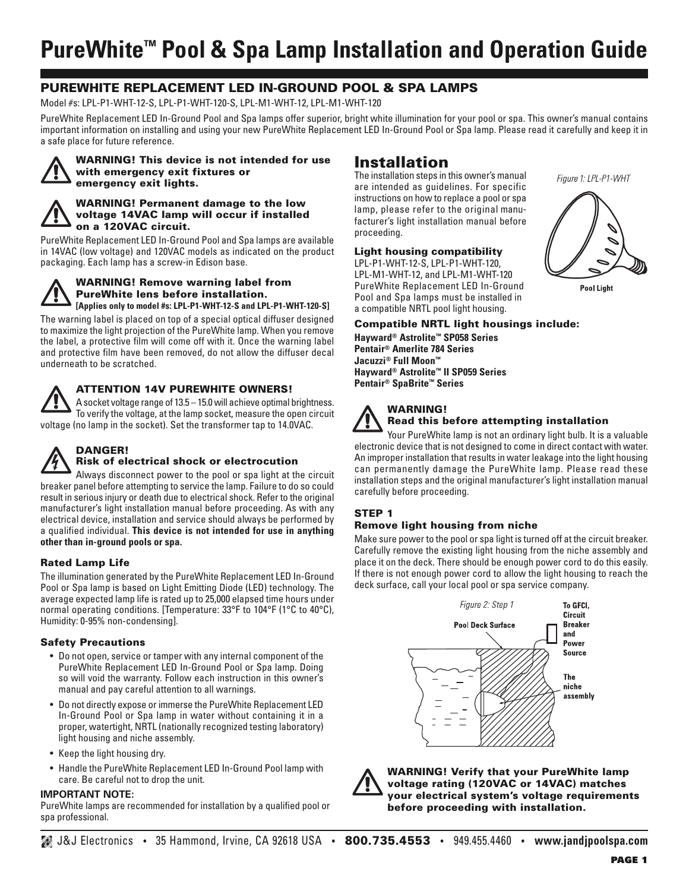# **PureWhite™ Pool & Spa Lamp Installation and Operation Guide**

# **PUREWHITE REPLACEMENT LED IN-GROUND POOL & SPA LAMPS**

Model #s: LPL-P1-WHT-12-S, LPL-P1-WHT-120-S, LPL-M1-WHT-12, LPL-M1-WHT-120

PureWhite Replacement LED In-Ground Pool and Spa lamps offer superior, bright white illumination for your pool or spa. This owner's manual contains important information on installing and using your new PureWhite Replacement LED In-Ground Pool or Spa lamp. Please read it carefully and keep it in a safe place for future reference.



**WARNING! This device is not intended for use with emergency exit fixtures or emergency exit lights.**

#### **WARNING! Permanent damage to the low voltage 14VAC lamp will occur if installed on a 120VAC circuit.**

PureWhite Replacement LED In-Ground Pool and Spa lamps are available in 14VAC (low voltage) and 120VAC models as indicated on the product packaging. Each lamp has a screw-in Edison base.

#### **WARNING! Remove warning label from PureWhite lens before installation. [Applies only to model #s: LPL-P1-WHT-12-S and LPL-P1-WHT-120-S]**

The warning label is placed on top of a special optical diffuser designed to maximize the light projection of the PureWhite lamp. When you remove the label, a protective film will come off with it. Once the warning label and protective film have been removed, do not allow the diffuser decal underneath to be scratched.



# **ATTENTION 14V PUREWHITE OWNERS!**

A socket voltage range of 13.5 – 15.0 will achieve optimal brightness. To verify the voltage, at the lamp socket, measure the open circuit voltage (no lamp in the socket). Set the transformer tap to 14.0VAC.



## **DANGER! Risk of electrical shock or electrocution**

Always disconnect power to the pool or spa light at the circuit breaker panel before attempting to service the lamp. Failure to do so could result in serious injury or death due to electrical shock. Refer to the original manufacturer's light installation manual before proceeding. As with any electrical device, installation and service should always be performed by a qualified individual. **This device is not intended for use in anything other than in-ground pools or spa.**

# **Rated Lamp Life**

The illumination generated by the PureWhite Replacement LED In-Ground Pool or Spa lamp is based on Light Emitting Diode (LED) technology. The average expected lamp life is rated up to 25,000 elapsed time hours under normal operating conditions. [Temperature: 33°F to 104°F (1°C to 40°C), Humidity: 0-95% non-condensing].

#### **Safety Precautions**

- Do not open, service or tamper with any internal component of the PureWhite Replacement LED In-Ground Pool or Spa lamp. Doing so will void the warranty. Follow each instruction in this owner's manual and pay careful attention to all warnings.
- Do not directly expose or immerse the PureWhite Replacement LED In-Ground Pool or Spa lamp in water without containing it in a proper, watertight, NRTL (nationally recognized testing laboratory) light housing and niche assembly.
- Keep the light housing dry.
- Handle the PureWhite Replacement LED In-Ground Pool lamp with care. Be careful not to drop the unit.

#### **IMPORTANT NOTE:**

PureWhite lamps are recommended for installation by a qualified pool or spa professional.

# **Installation**

The installation steps in this owner's manual are intended as guidelines. For specific instructions on how to replace a pool or spa lamp, please refer to the original manufacturer's light installation manual before proceeding.

# **Light housing compatibility**

LPL-P1-WHT-12-S, LPL-P1-WHT-120, LPL-M1-WHT-12, and LPL-M1-WHT-120 PureWhite Replacement LED In-Ground Pool and Spa lamps must be installed in a compatible NRTL pool light housing.

Figure 1: LPL-P1-WHT



**Pool Light** 

#### **Compatible NRTL light housings include:**

**Hayward® Astrolite™ SP058 Series Pentair® Amerlite 784 Series Jacuzzi® Full Moon™ Hayward® Astrolite™ II SP059 Series Pentair® SpaBrite™ Series**

## **WARNING! Read this before attempting installation**

Your PureWhite lamp is not an ordinary light bulb. It is a valuable electronic device that is not designed to come in direct contact with water. An improper installation that results in water leakage into the light housing can permanently damage the PureWhite lamp. Please read these installation steps and the original manufacturer's light installation manual carefully before proceeding.

# **STEP 1**

# **Remove light housing from niche**

Make sure power to the pool or spa light is turned off at the circuit breaker. Carefully remove the existing light housing from the niche assembly and place it on the deck. There should be enough power cord to do this easily. If there is not enough power cord to allow the light housing to reach the deck surface, call your local pool or spa service company.





**WARNING! Verify that your PureWhite lamp voltage rating (120VAC or 14VAC) matches your electrical system's voltage requirements before proceeding with installation.**